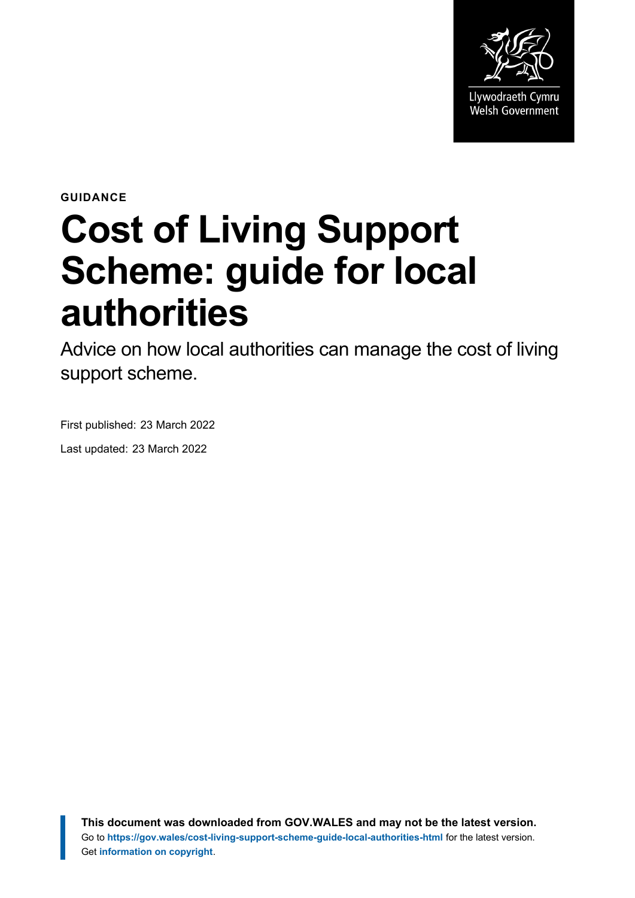

**GUIDANCE**

# **Cost of Living Support Scheme: guide for local authorities**

Advice on how local authorities can manage the cost of living support scheme.

First published: 23 March 2022

Last updated: 23 March 2022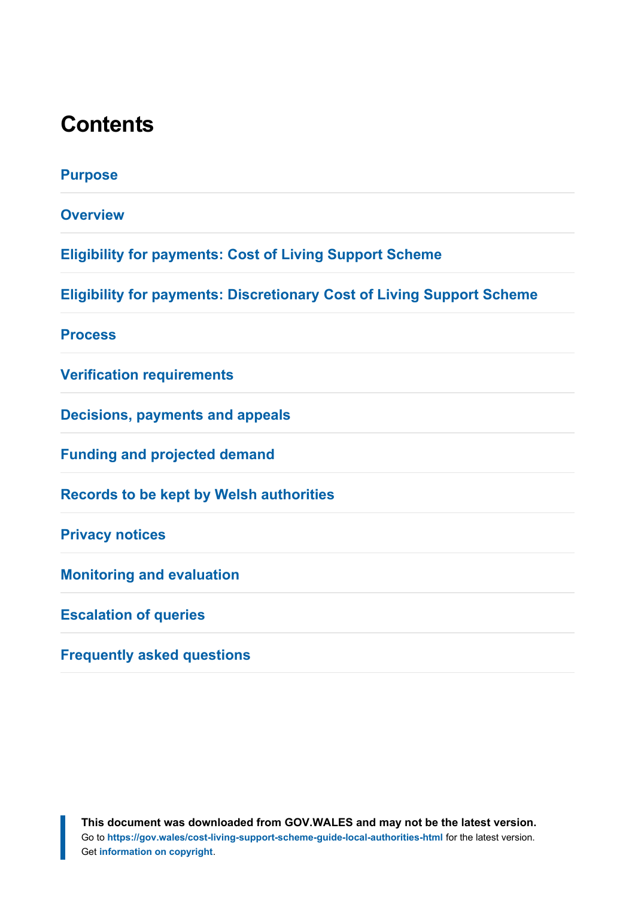# **Contents**

| <b>Purpose</b>                                                               |
|------------------------------------------------------------------------------|
| <b>Overview</b>                                                              |
| <b>Eligibility for payments: Cost of Living Support Scheme</b>               |
| <b>Eligibility for payments: Discretionary Cost of Living Support Scheme</b> |
| <b>Process</b>                                                               |
| <b>Verification requirements</b>                                             |
| <b>Decisions, payments and appeals</b>                                       |
| <b>Funding and projected demand</b>                                          |
| <b>Records to be kept by Welsh authorities</b>                               |
| <b>Privacy notices</b>                                                       |
| <b>Monitoring and evaluation</b>                                             |
| <b>Escalation of queries</b>                                                 |
| <b>Frequently asked questions</b>                                            |
|                                                                              |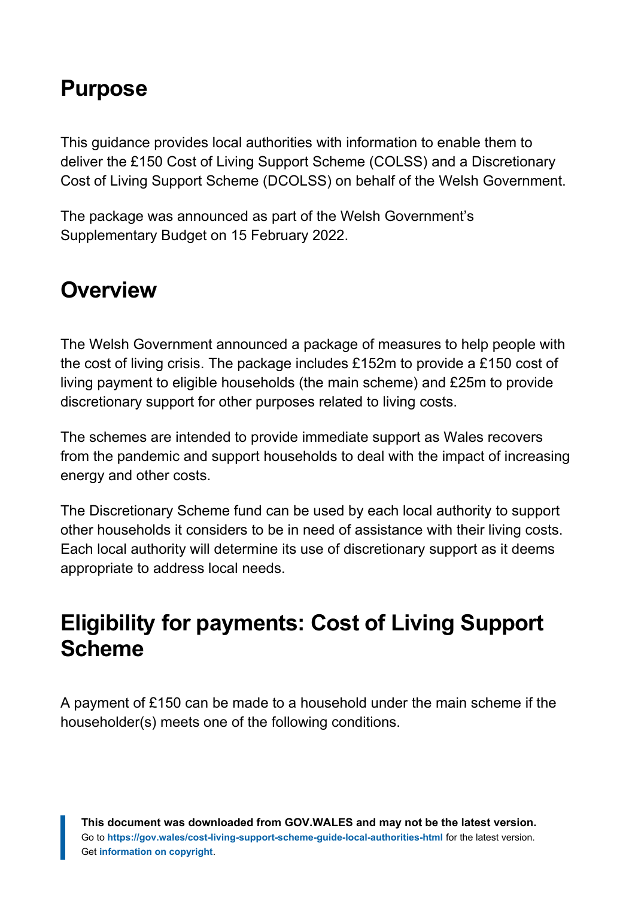# <span id="page-2-0"></span>**Purpose**

This guidance provides local authorities with information to enable them to deliver the £150 Cost of Living Support Scheme (COLSS) and a Discretionary Cost of Living Support Scheme (DCOLSS) on behalf of the Welsh Government.

The package was announced as part of the Welsh Government's Supplementary Budget on 15 February 2022.

#### <span id="page-2-1"></span>**Overview**

The Welsh Government announced a package of measures to help people with the cost of living crisis. The package includes £152m to provide a £150 cost of living payment to eligible households (the main scheme) and £25m to provide discretionary support for other purposes related to living costs.

The schemes are intended to provide immediate support as Wales recovers from the pandemic and support households to deal with the impact of increasing energy and other costs.

The Discretionary Scheme fund can be used by each local authority to support other households it considers to be in need of assistance with their living costs. Each local authority will determine its use of discretionary support as it deems appropriate to address local needs.

# <span id="page-2-2"></span>**Eligibility for payments: Cost of Living Support Scheme**

A payment of £150 can be made to a household under the main scheme if the householder(s) meets one of the following conditions.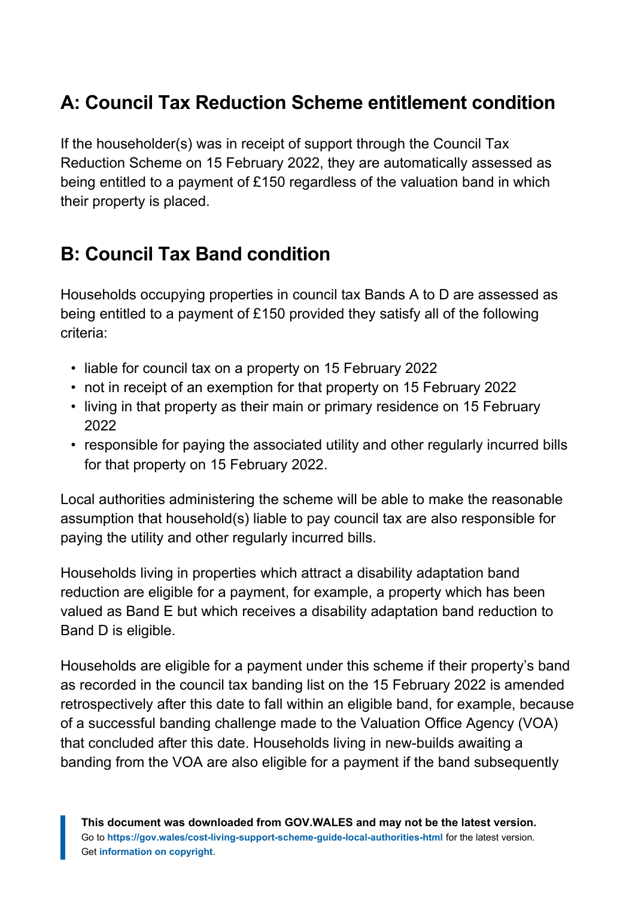#### **A: Council Tax Reduction Scheme entitlement condition**

If the householder(s) was in receipt of support through the Council Tax Reduction Scheme on 15 February 2022, they are automatically assessed as being entitled to a payment of £150 regardless of the valuation band in which their property is placed.

#### **B: Council Tax Band condition**

Households occupying properties in council tax Bands A to D are assessed as being entitled to a payment of £150 provided they satisfy all of the following criteria:

- liable for council tax on a property on 15 February 2022
- not in receipt of an exemption for that property on 15 February 2022
- living in that property as their main or primary residence on 15 February 2022
- responsible for paying the associated utility and other regularly incurred bills for that property on 15 February 2022.

Local authorities administering the scheme will be able to make the reasonable assumption that household(s) liable to pay council tax are also responsible for paying the utility and other regularly incurred bills.

Households living in properties which attract a disability adaptation band reduction are eligible for a payment, for example, a property which has been valued as Band E but which receives a disability adaptation band reduction to Band D is eligible.

Households are eligible for a payment under this scheme if their property's band as recorded in the council tax banding list on the 15 February 2022 is amended retrospectively after this date to fall within an eligible band, for example, because of a successful banding challenge made to the Valuation Office Agency (VOA) that concluded after this date. Households living in new-builds awaiting a banding from the VOA are also eligible for a payment if the band subsequently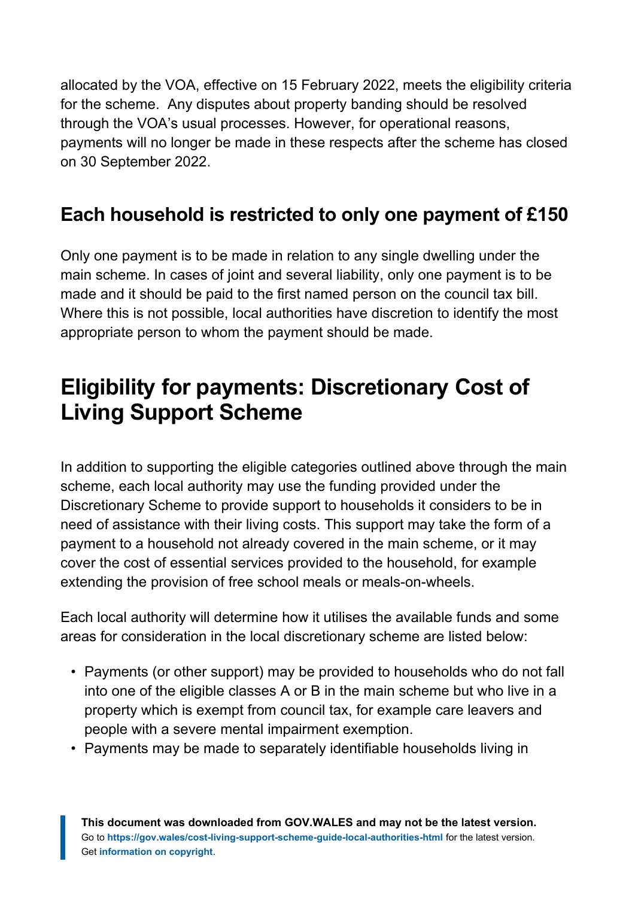allocated by the VOA, effective on 15 February 2022, meets the eligibility criteria for the scheme. Any disputes about property banding should be resolved through the VOA's usual processes. However, for operational reasons, payments will no longer be made in these respects after the scheme has closed on 30 September 2022.

#### **Each household is restricted to only one payment of £150**

Only one payment is to be made in relation to any single dwelling under the main scheme. In cases of joint and several liability, only one payment is to be made and it should be paid to the first named person on the council tax bill. Where this is not possible, local authorities have discretion to identify the most appropriate person to whom the payment should be made.

# <span id="page-4-0"></span>**Eligibility for payments: Discretionary Cost of Living Support Scheme**

In addition to supporting the eligible categories outlined above through the main scheme, each local authority may use the funding provided under the Discretionary Scheme to provide support to households it considers to be in need of assistance with their living costs. This support may take the form of a payment to a household not already covered in the main scheme, or it may cover the cost of essential services provided to the household, for example extending the provision of free school meals or meals-on-wheels.

Each local authority will determine how it utilises the available funds and some areas for consideration in the local discretionary scheme are listed below:

- Payments (or other support) may be provided to households who do not fall into one of the eligible classes A or B in the main scheme but who live in a property which is exempt from council tax, for example care leavers and people with a severe mental impairment exemption.
- Payments may be made to separately identifiable households living in

**This document was downloaded from GOV.WALES and may not be the latest version.** Go to **<https://gov.wales/cost-living-support-scheme-guide-local-authorities-html>** for the latest version. Get **[information on copyright](https://gov.wales/copyright-statement)**.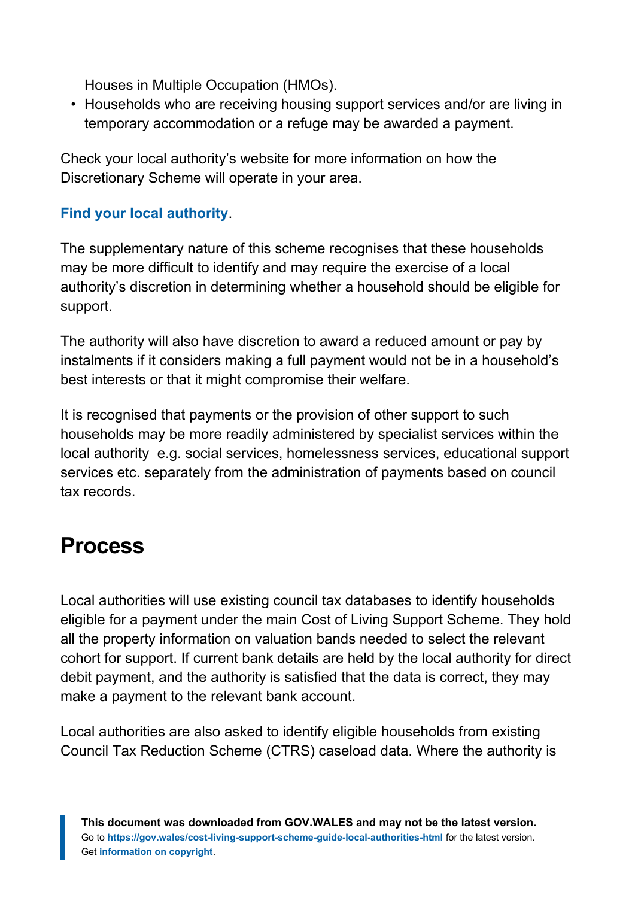Houses in Multiple Occupation (HMOs).

• Households who are receiving housing support services and/or are living in temporary accommodation or a refuge may be awarded a payment.

Check your local authority's website for more information on how the Discretionary Scheme will operate in your area.

#### **[Find your local authority](https://gov.wales/find-your-local-authority)**.

The supplementary nature of this scheme recognises that these households may be more difficult to identify and may require the exercise of a local authority's discretion in determining whether a household should be eligible for support.

The authority will also have discretion to award a reduced amount or pay by instalments if it considers making a full payment would not be in a household's best interests or that it might compromise their welfare.

It is recognised that payments or the provision of other support to such households may be more readily administered by specialist services within the local authority e.g. social services, homelessness services, educational support services etc. separately from the administration of payments based on council tax records.

# <span id="page-5-0"></span>**Process**

Local authorities will use existing council tax databases to identify households eligible for a payment under the main Cost of Living Support Scheme. They hold all the property information on valuation bands needed to select the relevant cohort for support. If current bank details are held by the local authority for direct debit payment, and the authority is satisfied that the data is correct, they may make a payment to the relevant bank account.

Local authorities are also asked to identify eligible households from existing Council Tax Reduction Scheme (CTRS) caseload data. Where the authority is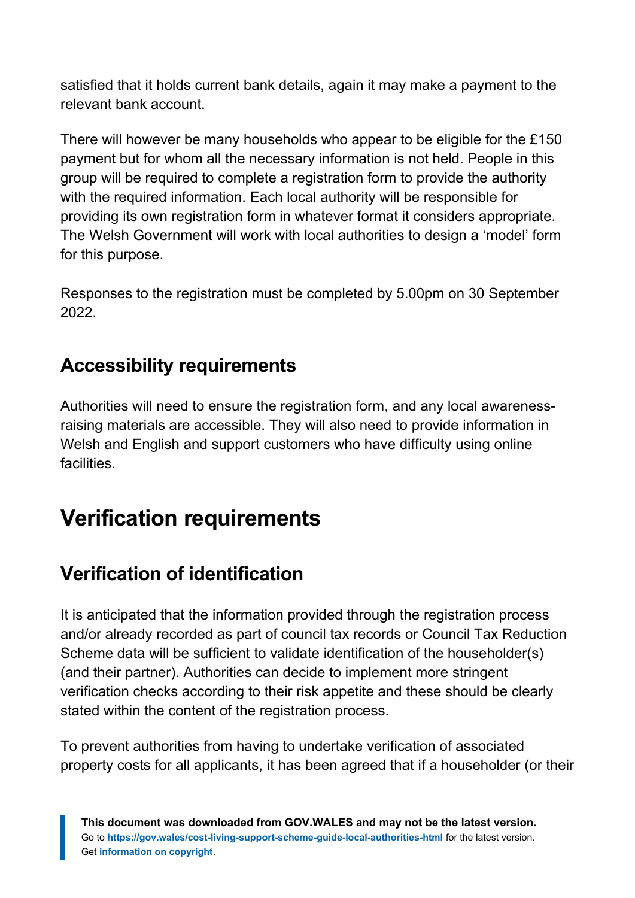satisfied that it holds current bank details, again it may make a payment to the relevant bank account.

There will however be many households who appear to be eligible for the £150 payment but for whom all the necessary information is not held. People in this group will be required to complete a registration form to provide the authority with the required information. Each local authority will be responsible for providing its own registration form in whatever format it considers appropriate. The Welsh Government will work with local authorities to design a 'model' form for this purpose.

Responses to the registration must be completed by 5.00pm on 30 September 2022.

#### **Accessibility requirements**

Authorities will need to ensure the registration form, and any local awarenessraising materials are accessible. They will also need to provide information in Welsh and English and support customers who have difficulty using online facilities.

# <span id="page-6-0"></span>**Verification requirements**

#### **Verification of identification**

It is anticipated that the information provided through the registration process and/or already recorded as part of council tax records or Council Tax Reduction Scheme data will be sufficient to validate identification of the householder(s) (and their partner). Authorities can decide to implement more stringent verification checks according to their risk appetite and these should be clearly stated within the content of the registration process.

To prevent authorities from having to undertake verification of associated property costs for all applicants, it has been agreed that if a householder (or their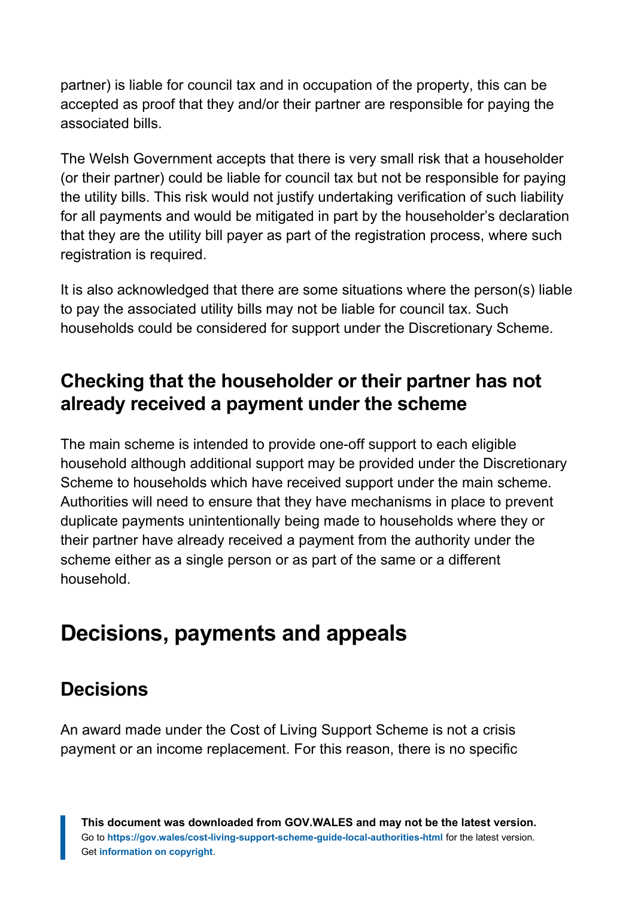partner) is liable for council tax and in occupation of the property, this can be accepted as proof that they and/or their partner are responsible for paying the associated bills.

The Welsh Government accepts that there is very small risk that a householder (or their partner) could be liable for council tax but not be responsible for paying the utility bills. This risk would not justify undertaking verification of such liability for all payments and would be mitigated in part by the householder's declaration that they are the utility bill payer as part of the registration process, where such registration is required.

It is also acknowledged that there are some situations where the person(s) liable to pay the associated utility bills may not be liable for council tax. Such households could be considered for support under the Discretionary Scheme.

#### **Checking that the householder or their partner has not already received a payment under the scheme**

The main scheme is intended to provide one-off support to each eligible household although additional support may be provided under the Discretionary Scheme to households which have received support under the main scheme. Authorities will need to ensure that they have mechanisms in place to prevent duplicate payments unintentionally being made to households where they or their partner have already received a payment from the authority under the scheme either as a single person or as part of the same or a different household.

# <span id="page-7-0"></span>**Decisions, payments and appeals**

#### **Decisions**

An award made under the Cost of Living Support Scheme is not a crisis payment or an income replacement. For this reason, there is no specific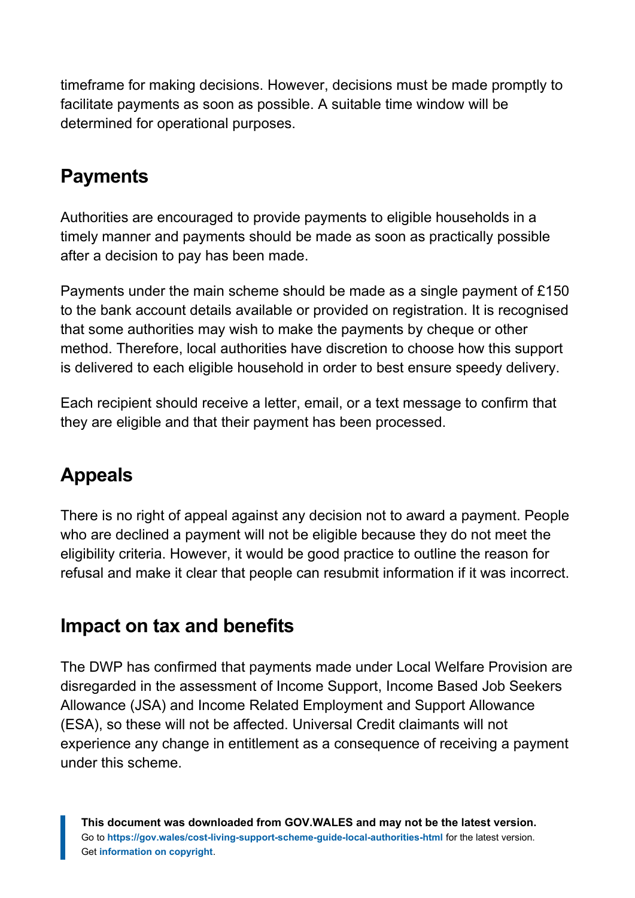timeframe for making decisions. However, decisions must be made promptly to facilitate payments as soon as possible. A suitable time window will be determined for operational purposes.

#### **Payments**

Authorities are encouraged to provide payments to eligible households in a timely manner and payments should be made as soon as practically possible after a decision to pay has been made.

Payments under the main scheme should be made as a single payment of £150 to the bank account details available or provided on registration. It is recognised that some authorities may wish to make the payments by cheque or other method. Therefore, local authorities have discretion to choose how this support is delivered to each eligible household in order to best ensure speedy delivery.

Each recipient should receive a letter, email, or a text message to confirm that they are eligible and that their payment has been processed.

## **Appeals**

There is no right of appeal against any decision not to award a payment. People who are declined a payment will not be eligible because they do not meet the eligibility criteria. However, it would be good practice to outline the reason for refusal and make it clear that people can resubmit information if it was incorrect.

#### **Impact on tax and benefits**

The DWP has confirmed that payments made under Local Welfare Provision are disregarded in the assessment of Income Support, Income Based Job Seekers Allowance (JSA) and Income Related Employment and Support Allowance (ESA), so these will not be affected. Universal Credit claimants will not experience any change in entitlement as a consequence of receiving a payment under this scheme.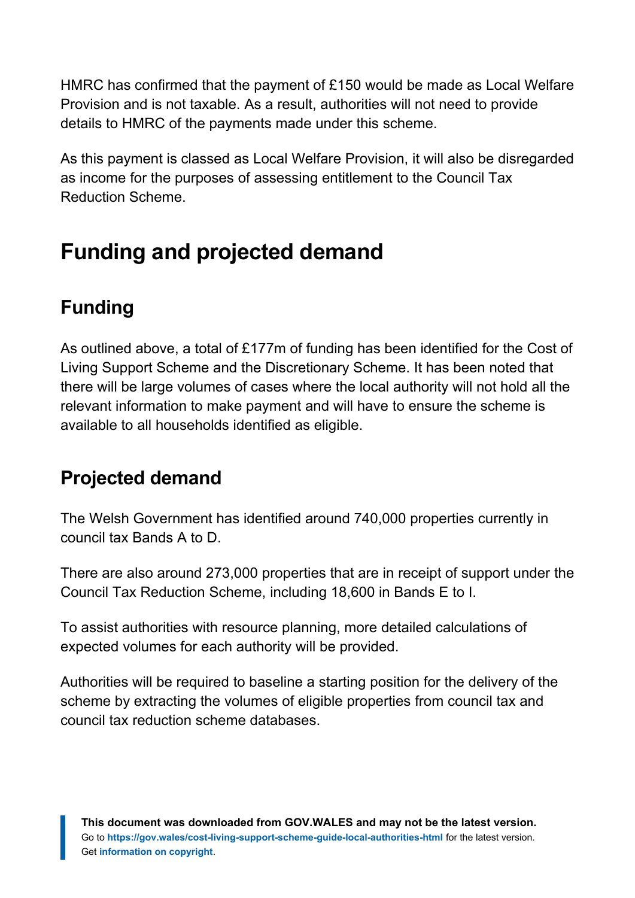HMRC has confirmed that the payment of £150 would be made as Local Welfare Provision and is not taxable. As a result, authorities will not need to provide details to HMRC of the payments made under this scheme.

As this payment is classed as Local Welfare Provision, it will also be disregarded as income for the purposes of assessing entitlement to the Council Tax Reduction Scheme.

# <span id="page-9-0"></span>**Funding and projected demand**

#### **Funding**

As outlined above, a total of £177m of funding has been identified for the Cost of Living Support Scheme and the Discretionary Scheme. It has been noted that there will be large volumes of cases where the local authority will not hold all the relevant information to make payment and will have to ensure the scheme is available to all households identified as eligible.

#### **Projected demand**

The Welsh Government has identified around 740,000 properties currently in council tax Bands A to D.

There are also around 273,000 properties that are in receipt of support under the Council Tax Reduction Scheme, including 18,600 in Bands E to I.

To assist authorities with resource planning, more detailed calculations of expected volumes for each authority will be provided.

Authorities will be required to baseline a starting position for the delivery of the scheme by extracting the volumes of eligible properties from council tax and council tax reduction scheme databases.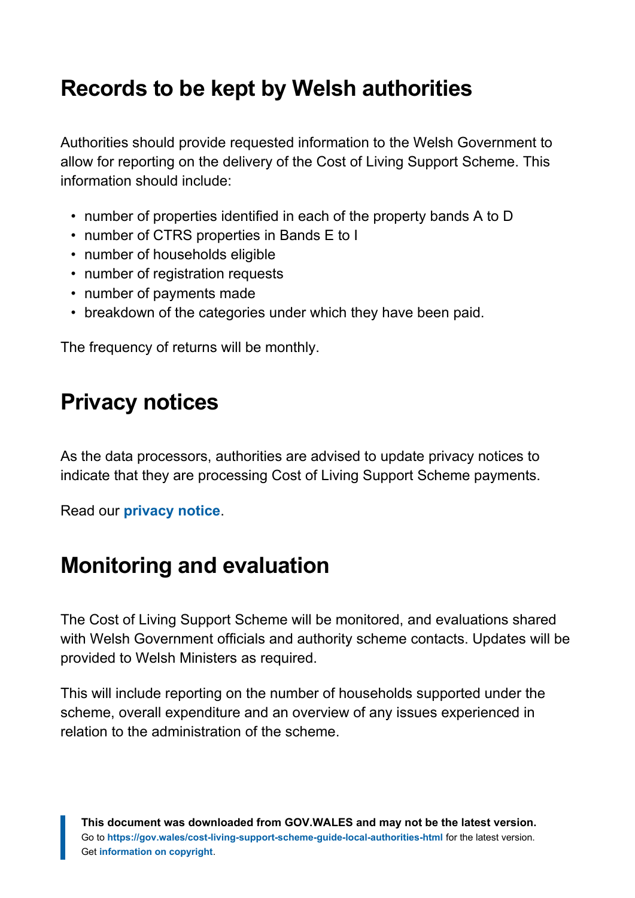# <span id="page-10-0"></span>**Records to be kept by Welsh authorities**

Authorities should provide requested information to the Welsh Government to allow for reporting on the delivery of the Cost of Living Support Scheme. This information should include:

- number of properties identified in each of the property bands A to D
- number of CTRS properties in Bands E to I
- number of households eligible
- number of registration requests
- number of payments made
- breakdown of the categories under which they have been paid.

The frequency of returns will be monthly.

# <span id="page-10-1"></span>**Privacy notices**

As the data processors, authorities are advised to update privacy notices to indicate that they are processing Cost of Living Support Scheme payments.

#### Read our **[privacy notice](https://gov.wales/website-privacy-policy)**.

## <span id="page-10-2"></span>**Monitoring and evaluation**

The Cost of Living Support Scheme will be monitored, and evaluations shared with Welsh Government officials and authority scheme contacts. Updates will be provided to Welsh Ministers as required.

This will include reporting on the number of households supported under the scheme, overall expenditure and an overview of any issues experienced in relation to the administration of the scheme.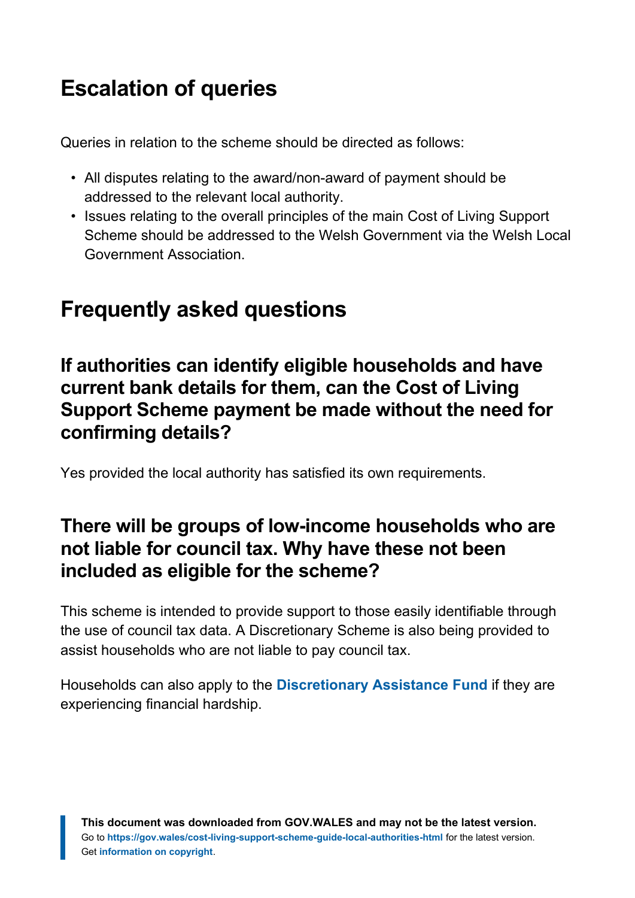# <span id="page-11-0"></span>**Escalation of queries**

Queries in relation to the scheme should be directed as follows:

- All disputes relating to the award/non-award of payment should be addressed to the relevant local authority.
- Issues relating to the overall principles of the main Cost of Living Support Scheme should be addressed to the Welsh Government via the Welsh Local Government Association.

# <span id="page-11-1"></span>**Frequently asked questions**

#### **If authorities can identify eligible households and have current bank details for them, can the Cost of Living Support Scheme payment be made without the need for confirming details?**

Yes provided the local authority has satisfied its own requirements.

#### **There will be groups of low-income households who are not liable for council tax. Why have these not been included as eligible for the scheme?**

This scheme is intended to provide support to those easily identifiable through the use of council tax data. A Discretionary Scheme is also being provided to assist households who are not liable to pay council tax.

Households can also apply to the **[Discretionary Assistance Fund](https://gov.wales/discretionary-assistance-fund-daf)** if they are experiencing financial hardship.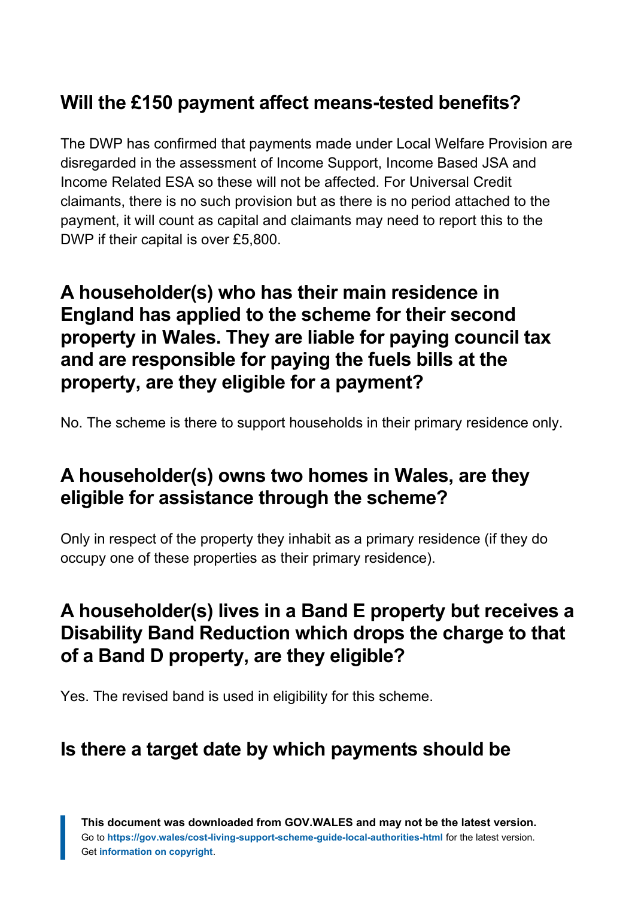#### **Will the £150 payment affect means-tested benefits?**

The DWP has confirmed that payments made under Local Welfare Provision are disregarded in the assessment of Income Support, Income Based JSA and Income Related ESA so these will not be affected. For Universal Credit claimants, there is no such provision but as there is no period attached to the payment, it will count as capital and claimants may need to report this to the DWP if their capital is over £5,800.

#### **A householder(s) who has their main residence in England has applied to the scheme for their second property in Wales. They are liable for paying council tax and are responsible for paying the fuels bills at the property, are they eligible for a payment?**

No. The scheme is there to support households in their primary residence only.

#### **A householder(s) owns two homes in Wales, are they eligible for assistance through the scheme?**

Only in respect of the property they inhabit as a primary residence (if they do occupy one of these properties as their primary residence).

#### **A householder(s) lives in a Band E property but receives a Disability Band Reduction which drops the charge to that of a Band D property, are they eligible?**

Yes. The revised band is used in eligibility for this scheme.

#### **Is there a target date by which payments should be**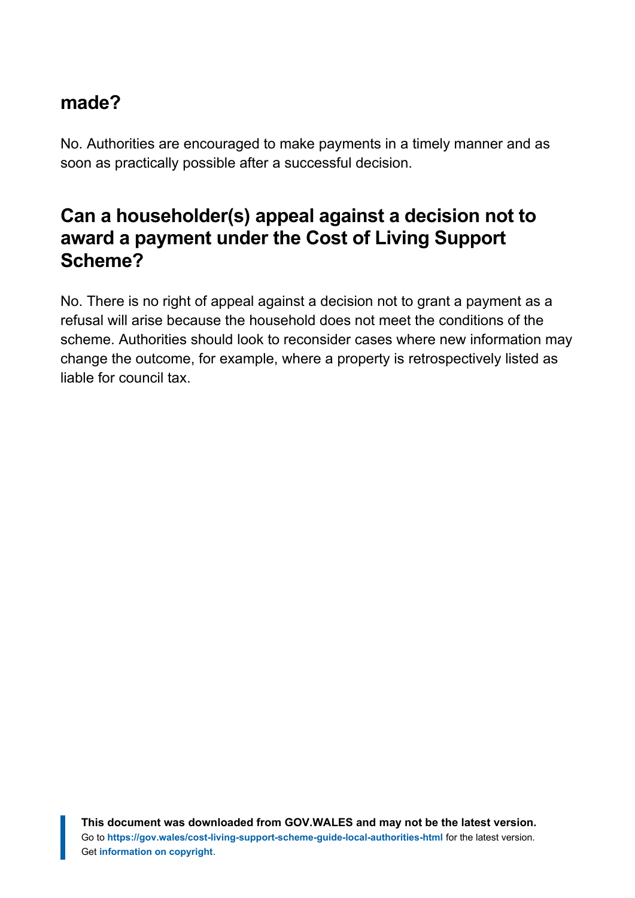#### **made?**

No. Authorities are encouraged to make payments in a timely manner and as soon as practically possible after a successful decision.

#### **Can a householder(s) appeal against a decision not to award a payment under the Cost of Living Support Scheme?**

No. There is no right of appeal against a decision not to grant a payment as a refusal will arise because the household does not meet the conditions of the scheme. Authorities should look to reconsider cases where new information may change the outcome, for example, where a property is retrospectively listed as liable for council tax.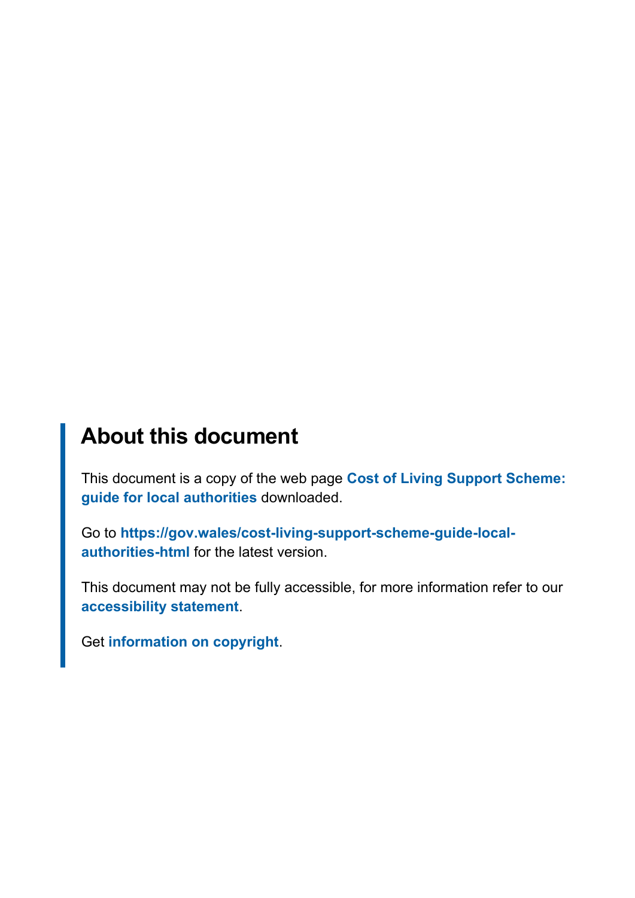# **About this document**

This document is a copy of the web page **[Cost of Living Support Scheme:](https://gov.wales/cost-living-support-scheme-guide-local-authorities-html) [guide for local authorities](https://gov.wales/cost-living-support-scheme-guide-local-authorities-html)** downloaded.

Go to **[https://gov.wales/cost-living-support-scheme-guide-local](https://gov.wales/cost-living-support-scheme-guide-local-authorities-html)[authorities-html](https://gov.wales/cost-living-support-scheme-guide-local-authorities-html)** for the latest version.

This document may not be fully accessible, for more information refer to our **[accessibility statement](https://gov.wales/accessibility-statement-govwales)**.

Get **[information on copyright](https://gov.wales/copyright-statement)**.